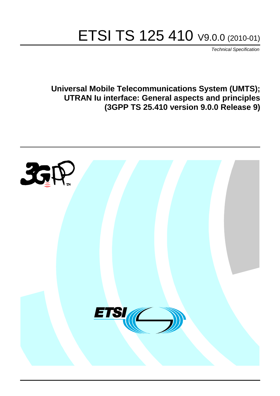# ETSI TS 125 410 V9.0.0 (2010-01)

*Technical Specification*

**Universal Mobile Telecommunications System (UMTS); UTRAN Iu interface: General aspects and principles (3GPP TS 25.410 version 9.0.0 Release 9)**

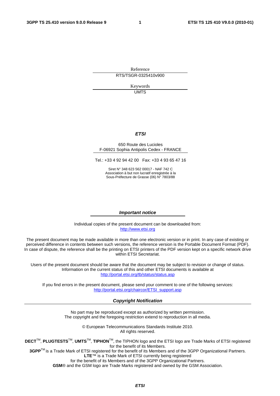Reference RTS/TSGR-0325410v900

> Keywords UMTS

#### *ETSI*

#### 650 Route des Lucioles F-06921 Sophia Antipolis Cedex - FRANCE

Tel.: +33 4 92 94 42 00 Fax: +33 4 93 65 47 16

Siret N° 348 623 562 00017 - NAF 742 C Association à but non lucratif enregistrée à la Sous-Préfecture de Grasse (06) N° 7803/88

#### *Important notice*

Individual copies of the present document can be downloaded from: [http://www.etsi.org](http://www.etsi.org/)

The present document may be made available in more than one electronic version or in print. In any case of existing or perceived difference in contents between such versions, the reference version is the Portable Document Format (PDF). In case of dispute, the reference shall be the printing on ETSI printers of the PDF version kept on a specific network drive within ETSI Secretariat.

Users of the present document should be aware that the document may be subject to revision or change of status. Information on the current status of this and other ETSI documents is available at <http://portal.etsi.org/tb/status/status.asp>

If you find errors in the present document, please send your comment to one of the following services: [http://portal.etsi.org/chaircor/ETSI\\_support.asp](http://portal.etsi.org/chaircor/ETSI_support.asp)

#### *Copyright Notification*

No part may be reproduced except as authorized by written permission. The copyright and the foregoing restriction extend to reproduction in all media.

> © European Telecommunications Standards Institute 2010. All rights reserved.

**DECT**TM, **PLUGTESTS**TM, **UMTS**TM, **TIPHON**TM, the TIPHON logo and the ETSI logo are Trade Marks of ETSI registered for the benefit of its Members.

**3GPP**TM is a Trade Mark of ETSI registered for the benefit of its Members and of the 3GPP Organizational Partners. **LTE**™ is a Trade Mark of ETSI currently being registered

for the benefit of its Members and of the 3GPP Organizational Partners.

**GSM**® and the GSM logo are Trade Marks registered and owned by the GSM Association.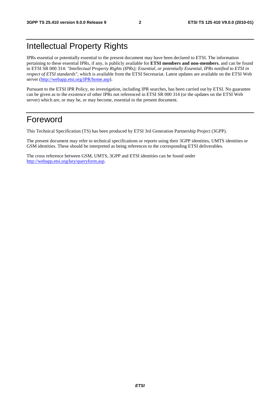# Intellectual Property Rights

IPRs essential or potentially essential to the present document may have been declared to ETSI. The information pertaining to these essential IPRs, if any, is publicly available for **ETSI members and non-members**, and can be found in ETSI SR 000 314: *"Intellectual Property Rights (IPRs); Essential, or potentially Essential, IPRs notified to ETSI in respect of ETSI standards"*, which is available from the ETSI Secretariat. Latest updates are available on the ETSI Web server [\(http://webapp.etsi.org/IPR/home.asp\)](http://webapp.etsi.org/IPR/home.asp).

Pursuant to the ETSI IPR Policy, no investigation, including IPR searches, has been carried out by ETSI. No guarantee can be given as to the existence of other IPRs not referenced in ETSI SR 000 314 (or the updates on the ETSI Web server) which are, or may be, or may become, essential to the present document.

# Foreword

This Technical Specification (TS) has been produced by ETSI 3rd Generation Partnership Project (3GPP).

The present document may refer to technical specifications or reports using their 3GPP identities, UMTS identities or GSM identities. These should be interpreted as being references to the corresponding ETSI deliverables.

The cross reference between GSM, UMTS, 3GPP and ETSI identities can be found under [http://webapp.etsi.org/key/queryform.asp.](http://webapp.etsi.org/key/queryform.asp)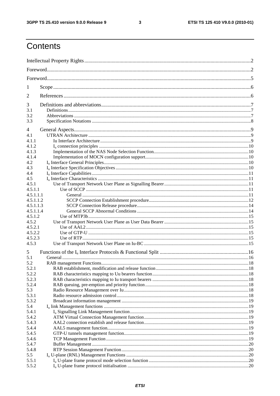$\mathbf{3}$ 

# Contents

| 1              |     |  |  |  |  |  |
|----------------|-----|--|--|--|--|--|
| 2              |     |  |  |  |  |  |
| 3              |     |  |  |  |  |  |
| 3.1            |     |  |  |  |  |  |
| 3.3            | 3.2 |  |  |  |  |  |
|                |     |  |  |  |  |  |
| 4              |     |  |  |  |  |  |
| 4.1            |     |  |  |  |  |  |
| 4.1.1          |     |  |  |  |  |  |
| 4.1.2          |     |  |  |  |  |  |
| 4.1.3<br>4.1.4 |     |  |  |  |  |  |
| 4.2            |     |  |  |  |  |  |
| 4.3            |     |  |  |  |  |  |
| 4.4            |     |  |  |  |  |  |
| 4.5            |     |  |  |  |  |  |
| 4.5.1          |     |  |  |  |  |  |
| 4.5.1.1        |     |  |  |  |  |  |
| 4.5.1.1.1      |     |  |  |  |  |  |
| 4.5.1.1.2      |     |  |  |  |  |  |
| 4.5.1.1.3      |     |  |  |  |  |  |
| 4.5.1.1.4      |     |  |  |  |  |  |
| 4.5.1.2        |     |  |  |  |  |  |
| 4.5.2          |     |  |  |  |  |  |
| 4.5.2.1        |     |  |  |  |  |  |
| 4.5.2.2        |     |  |  |  |  |  |
| 4.5.2.3        |     |  |  |  |  |  |
| 4.5.3          |     |  |  |  |  |  |
| 5              |     |  |  |  |  |  |
| 5.1            |     |  |  |  |  |  |
| 5.2<br>5.2.1   |     |  |  |  |  |  |
| 5.2.2          |     |  |  |  |  |  |
| 5.2.3          |     |  |  |  |  |  |
| 5.2.4          |     |  |  |  |  |  |
| 5.3            |     |  |  |  |  |  |
| 5.3.1          |     |  |  |  |  |  |
| 5.3.2          |     |  |  |  |  |  |
| 5.4            |     |  |  |  |  |  |
| 5.4.1          |     |  |  |  |  |  |
| 5.4.2          |     |  |  |  |  |  |
| 5.4.3          |     |  |  |  |  |  |
| 5.4.4          |     |  |  |  |  |  |
| 5.4.5          |     |  |  |  |  |  |
| 5.4.6          |     |  |  |  |  |  |
| 5.4.7          |     |  |  |  |  |  |
| 5.4.8          |     |  |  |  |  |  |
| 5.5            |     |  |  |  |  |  |
| 5.5.1          |     |  |  |  |  |  |
| 5.5.2          |     |  |  |  |  |  |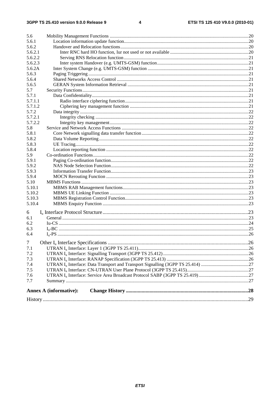| 5.6             |                               |  |
|-----------------|-------------------------------|--|
| 5.6.1           |                               |  |
| 5.6.2           |                               |  |
| 5.6.2.1         |                               |  |
| 5.6.2.2         |                               |  |
| 5.6.2.3         |                               |  |
| 5.6.2A          |                               |  |
| 5.6.3           |                               |  |
| 5.6.4           |                               |  |
| 5.6.5           |                               |  |
| 5.7             |                               |  |
| 5.7.1           |                               |  |
| 5.7.1.1         |                               |  |
| 5.7.1.2         |                               |  |
| 5.7.2           |                               |  |
| 5.7.2.1         |                               |  |
| 5.7.2.2         |                               |  |
| 5.8             |                               |  |
| 5.8.1           |                               |  |
| 5.8.2           |                               |  |
| 5.8.3           |                               |  |
| 5.8.4           |                               |  |
| 5.9             |                               |  |
| 5.9.1           |                               |  |
| 5.9.2           |                               |  |
| 5.9.3           |                               |  |
| 5.9.4           |                               |  |
| 5.10            |                               |  |
| 5.10.1          |                               |  |
| 5.10.2          |                               |  |
| 5.10.3          |                               |  |
| 5.10.4          |                               |  |
| 6               |                               |  |
| 6.1             |                               |  |
| 6.2             |                               |  |
| 6.3             |                               |  |
|                 |                               |  |
| 6.4             |                               |  |
| $7\overline{ }$ |                               |  |
| 7.1             |                               |  |
| 7.2             |                               |  |
| 7.3             |                               |  |
| 7.4             |                               |  |
| 7.5             |                               |  |
| 7.6             |                               |  |
| 7.7             |                               |  |
|                 |                               |  |
|                 | <b>Annex A (informative):</b> |  |
|                 |                               |  |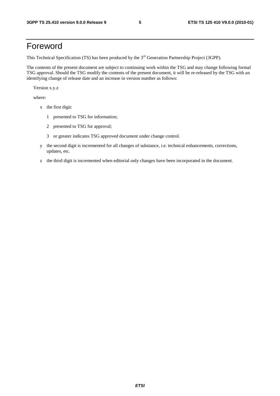# Foreword

This Technical Specification (TS) has been produced by the 3<sup>rd</sup> Generation Partnership Project (3GPP).

The contents of the present document are subject to continuing work within the TSG and may change following formal TSG approval. Should the TSG modify the contents of the present document, it will be re-released by the TSG with an identifying change of release date and an increase in version number as follows:

Version x.y.z

where:

- x the first digit:
	- 1 presented to TSG for information;
	- 2 presented to TSG for approval;
	- 3 or greater indicates TSG approved document under change control.
- y the second digit is incremented for all changes of substance, i.e. technical enhancements, corrections, updates, etc.
- z the third digit is incremented when editorial only changes have been incorporated in the document.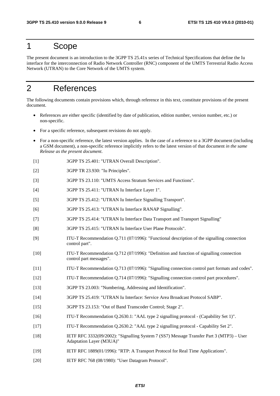### 1 Scope

The present document is an introduction to the 3GPP TS 25.41x series of Technical Specifications that define the Iu interface for the interconnection of Radio Network Controller (RNC) component of the UMTS Terrestrial Radio Access Network (UTRAN) to the Core Network of the UMTS system.

# 2 References

The following documents contain provisions which, through reference in this text, constitute provisions of the present document.

- References are either specific (identified by date of publication, edition number, version number, etc.) or non-specific.
- For a specific reference, subsequent revisions do not apply.
- For a non-specific reference, the latest version applies. In the case of a reference to a 3GPP document (including a GSM document), a non-specific reference implicitly refers to the latest version of that document *in the same Release as the present document*.
- [1] 3GPP TS 25.401: "UTRAN Overall Description".
- [2] 3GPP TR 23.930: "Iu Principles".
- [3] 3GPP TS 23.110: "UMTS Access Stratum Services and Functions".
- [4] 3GPP TS 25.411: "UTRAN Iu Interface Layer 1".
- [5] 3GPP TS 25.412: "UTRAN Iu Interface Signalling Transport".
- [6] 3GPP TS 25.413: "UTRAN Iu Interface RANAP Signalling".
- [7] 3GPP TS 25.414: "UTRAN Iu Interface Data Transport and Transport Signalling"
- [8] 3GPP TS 25.415: "UTRAN Iu Interface User Plane Protocols".
- [9] ITU-T Recommendation Q.711 (07/1996): "Functional description of the signalling connection control part".
- [10] ITU-T Recommendation Q.712 (07/1996): "Definition and function of signalling connection control part messages".
- [11] ITU-T Recommendation Q.713 (07/1996): "Signalling connection control part formats and codes".
- [12] ITU-T Recommendation Q.714 (07/1996): "Signalling connection control part procedures".
- [13] 3GPP TS 23.003: "Numbering, Addressing and Identification".
- [14] 3GPP TS 25.419: "UTRAN Iu Interface: Service Area Broadcast Protocol SABP".
- [15] 3GPP TS 23.153: "Out of Band Transcoder Control; Stage 2".
- [16] ITU-T Recommendation Q.2630.1: "AAL type 2 signalling protocol (Capability Set 1)".
- [17] ITU-T Recommendation Q.2630.2: "AAL type 2 signalling protocol Capability Set 2".
- [18] IETF RFC 3332(09/2002): "Signalling System 7 (SS7) Message Transfer Part 3 (MTP3) User Adaptation Layer (M3UA)"
- [19] IETF RFC 1889(01/1996): "RTP: A Transport Protocol for Real Time Applications".
- [20] IETF RFC 768 (08/1980): "User Datagram Protocol".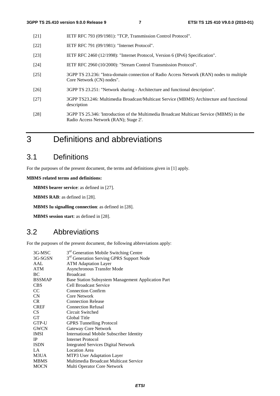- [21] IETF RFC 793 (09/1981): "TCP, Transmission Control Protocol".
- [22] **IETF RFC 791 (09/1981): "Internet Protocol".**
- [23] IETF RFC 2460 (12/1998): "Internet Protocol, Version 6 (IPv6) Specification".
- [24] IETF RFC 2960 (10/2000): "Stream Control Transmission Protocol".
- [25] 3GPP TS 23.236: "Intra-domain connection of Radio Access Network (RAN) nodes to multiple Core Network (CN) nodes".
- [26] 3GPP TS 23.251: "Network sharing Architecture and functional description".
- [27] 3GPP TS23.246: Multimedia Broadcast/Multicast Service (MBMS) Architecture and functional description
- [28] 3GPP TS 25.346: 'Introduction of the Multimedia Broadcast Multicast Service (MBMS) in the Radio Access Network (RAN); Stage 2'.
- 3 Definitions and abbreviations

# 3.1 Definitions

For the purposes of the present document, the terms and definitions given in [1] apply.

**MBMS related terms and definitions:** 

**MBMS bearer service**: as defined in [27].

**MBMS RAB**: as defined in [28].

**MBMS Iu signalling connection**: as defined in [28].

**MBMS session start**: as defined in [28].

### 3.2 Abbreviations

For the purposes of the present document, the following abbreviations apply:

| 3G-MSC          | 3 <sup>rd</sup> Generation Mobile Switching Centre   |
|-----------------|------------------------------------------------------|
| 3G-SGSN         | 3 <sup>rd</sup> Generation Serving GPRS Support Node |
| AAL             | <b>ATM Adaptation Layer</b>                          |
| <b>ATM</b>      | <b>Asynchronous Transfer Mode</b>                    |
| BC              | <b>Broadcast</b>                                     |
| <b>BSSMAP</b>   | Base Station Subsystem Management Application Part   |
| <b>CBS</b>      | Cell Broadcast Service                               |
| <sub>CC</sub>   | <b>Connection Confirm</b>                            |
| CN              | <b>Core Network</b>                                  |
| CR.             | <b>Connection Release</b>                            |
| <b>CREF</b>     | <b>Connection Refusal</b>                            |
| CS <sup>-</sup> | Circuit Switched                                     |
| <b>GT</b>       | Global Title                                         |
| GTP-U           | <b>GPRS</b> Tunnelling Protocol                      |
| <b>GWCN</b>     | <b>Gateway Core Network</b>                          |
| <b>IMSI</b>     | <b>International Mobile Subscriber Identity</b>      |
| <b>IP</b>       | Internet Protocol                                    |
| <b>ISDN</b>     | <b>Integrated Services Digital Network</b>           |
| LA              | <b>Location Area</b>                                 |
| M3UA            | MTP3 User Adaptation Layer                           |
| <b>MBMS</b>     | Multimedia Broadcast Multicast Service               |
| <b>MOCN</b>     | Multi Operator Core Network                          |
|                 |                                                      |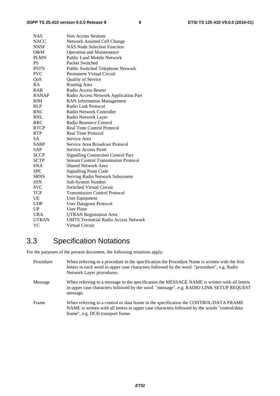| <b>NAS</b>   | Non Access Stratum                           |
|--------------|----------------------------------------------|
| <b>NACC</b>  | Network Assisted Cell Change                 |
| <b>NNSF</b>  | <b>NAS Node Selection Function</b>           |
| $O\&M$       | <b>Operation and Maintenance</b>             |
| <b>PLMN</b>  | <b>Public Land Mobile Network</b>            |
| <b>PS</b>    | Packet Switched                              |
| <b>PSTN</b>  | Public Switched Telephone Network            |
| <b>PVC</b>   | <b>Permanent Virtual Circuit</b>             |
| QoS          | Quality of Service                           |
| RA           | Routing Area                                 |
| <b>RAB</b>   | Radio Access Bearer                          |
| <b>RANAP</b> | Radio Access Network Application Part        |
| <b>RIM</b>   | <b>RAN</b> Information Management            |
| <b>RLP</b>   | Radio Link Protocol                          |
| <b>RNC</b>   | Radio Network Controller                     |
| RNL          | Radio Network Layer                          |
| RRC          | Radio Resource Control                       |
| <b>RTCP</b>  | <b>Real Time Control Protocol</b>            |
| <b>RTP</b>   | <b>Real Time Protocol</b>                    |
| <b>SA</b>    | Service Area                                 |
| <b>SABP</b>  | Service Area Broadcast Protocol              |
| SAP          | <b>Service Access Point</b>                  |
| <b>SCCP</b>  | <b>Signalling Connection Control Part</b>    |
| <b>SCTP</b>  | <b>Stream Control Transmission Protocol</b>  |
| <b>SNA</b>   | <b>Shared Network Area</b>                   |
| <b>SPC</b>   | <b>Signalling Point Code</b>                 |
| <b>SRNS</b>  | Serving Radio Network Subsystem              |
| <b>SSN</b>   | Sub-System Number                            |
| <b>SVC</b>   | <b>Switched Virtual Circuit</b>              |
| TCP          | <b>Transmission Control Protocol</b>         |
| UE           | User Equipment                               |
| <b>UDP</b>   | <b>User Datagram Protocol</b>                |
| UP           | <b>User Plane</b>                            |
| <b>URA</b>   | <b>UTRAN Registration Area</b>               |
| <b>UTRAN</b> | <b>UMTS Terrestrial Radio Access Network</b> |
| VC           | <b>Virtual Circuit</b>                       |

# 3.3 Specification Notations

For the purposes of the present document, the following notations apply:

| Procedure | When referring to a procedure in the specification the Procedure Name is written with the first<br>letters in each word in upper case characters followed by the word "procedure", e.g. Radio<br>Network Layer procedures.   |
|-----------|------------------------------------------------------------------------------------------------------------------------------------------------------------------------------------------------------------------------------|
| Message   | When referring to a message in the specification the MESSAGE NAME is written with all letters<br>in upper case characters followed by the word "message", e.g. RADIO LINK SETUP REQUEST<br>message.                          |
| Frame     | When referring to a control or data frame in the specification the CONTROL/DATA FRAME<br>NAME is written with all letters in upper case characters followed by the words "control/data"<br>frame", e.g. DCH transport frame. |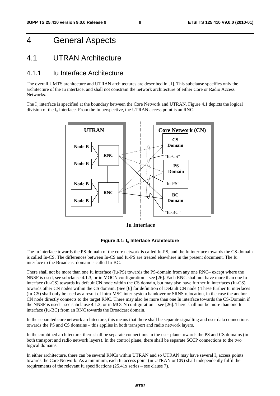# 4 General Aspects

### 4.1 UTRAN Architecture

#### 4.1.1 Iu Interface Architecture

The overall UMTS architecture and UTRAN architectures are described in [1]. This subclause specifies only the architecture of the Iu interface, and shall not constrain the network architecture of either Core or Radio Access Networks.

The  $I_{\text{u}}$  interface is specified at the boundary between the Core Network and UTRAN. Figure 4.1 depicts the logical division of the  $I_u$  interface. From the Iu perspective, the UTRAN access point is an RNC.



**Iu Interface**



The Iu interface towards the PS-domain of the core network is called Iu-PS, and the Iu interface towards the CS-domain is called Iu-CS. The differences between Iu-CS and Iu-PS are treated elsewhere in the present document. The Iu interface to the Broadcast domain is called Iu-BC.

There shall not be more than one Iu interface (Iu-PS) towards the PS-domain from any one RNC– except where the NNSF is used, see subclause 4.1.3, or in MOCN configuration – see [26]. Each RNC shall not have more than one Iu interface (Iu-CS) towards its default CN node within the CS domain, but may also have further Iu interfaces (Iu-CS) towards other CN nodes within the CS domain. (See [6] for definition of Default CN node.) These further Iu interfaces (Iu-CS) shall only be used as a result of intra-MSC inter-system handover or SRNS relocation, in the case the anchor CN node directly connects to the target RNC. There may also be more than one Iu interface towards the CS-Domain if the NNSF is used – see subclause 4.1.3, or in MOCN configuration – see [26]. There shall not be more than one Iu interface (Iu-BC) from an RNC towards the Broadcast domain.

In the separated core network architecture, this means that there shall be separate signalling and user data connections towards the PS and CS domains – this applies in both transport and radio network layers.

In the combined architecture, there shall be separate connections in the user plane towards the PS and CS domains (in both transport and radio network layers). In the control plane, there shall be separate SCCP connections to the two logical domains.

In either architecture, there can be several RNCs within UTRAN and so UTRAN may have several  $I<sub>u</sub>$  access points towards the Core Network. As a minimum, each Iu access point (in UTRAN or CN) shall independently fulfil the requirements of the relevant Iu specifications (25.41x series – see clause 7).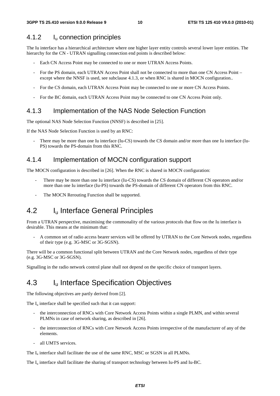#### 4.1.2 Iu connection principles

The Iu interface has a hierarchical architecture where one higher layer entity controls several lower layer entities. The hierarchy for the CN - UTRAN signalling connection end points is described below:

- Each CN Access Point may be connected to one or more UTRAN Access Points.
- For the PS domain, each UTRAN Access Point shall not be connected to more than one CN Access Point except where the NNSF is used, see subclause 4.1.3, or when RNC is shared in MOCN configuration..
- For the CS domain, each UTRAN Access Point may be connected to one or more CN Access Points.
- For the BC domain, each UTRAN Access Point may be connected to one CN Access Point only.

#### 4.1.3 Implementation of the NAS Node Selection Function

The optional NAS Node Selection Function (NNSF) is described in [25].

If the NAS Node Selection Function is used by an RNC:

There may be more than one Iu interface (Iu-CS) towards the CS domain and/or more than one Iu interface (Iu-PS) towards the PS-domain from this RNC.

#### 4.1.4 Implementation of MOCN configuration support

The MOCN configuration is described in [26]. When the RNC is shared in MOCN configuration:

- There may be more than one Iu interface (Iu-CS) towards the CS domain of different CN operators and/or more than one Iu interface (Iu-PS) towards the PS-domain of different CN operators from this RNC.
- The MOCN Rerouting Function shall be supported.

### 4.2 I<sub>u</sub> Interface General Principles

From a UTRAN perspective, maximising the commonality of the various protocols that flow on the Iu interface is desirable. This means at the minimum that:

- A common set of radio access bearer services will be offered by UTRAN to the Core Network nodes, regardless of their type (e.g. 3G-MSC or 3G-SGSN).

There will be a common functional split between UTRAN and the Core Network nodes, regardless of their type (e.g. 3G-MSC or 3G-SGSN).

Signalling in the radio network control plane shall not depend on the specific choice of transport layers.

### 4.3 I<sub>u</sub> Interface Specification Objectives

The following objectives are partly derived from [2].

The  $I_{\nu}$  interface shall be specified such that it can support:

- the interconnection of RNCs with Core Network Access Points within a single PLMN, and within several PLMNs in case of network sharing, as described in [26].
- the interconnection of RNCs with Core Network Access Points irrespective of the manufacturer of any of the elements.
- all UMTS services.

The  $I<sub>u</sub>$  interface shall facilitate the use of the same RNC, MSC or SGSN in all PLMNs.

The I<sub>u</sub> interface shall facilitate the sharing of transport technology between Iu-PS and Iu-BC.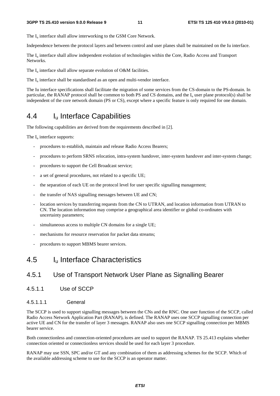The  $I_{\text{u}}$  interface shall allow interworking to the GSM Core Network.

Independence between the protocol layers and between control and user planes shall be maintained on the Iu interface.

The I<sub>u</sub> interface shall allow independent evolution of technologies within the Core, Radio Access and Transport Networks.

The  $I_u$  interface shall allow separate evolution of O&M facilities.

The  $I_{\text{u}}$  interface shall be standardised as an open and multi-vendor interface.

The Iu interface specifications shall facilitate the migration of some services from the CS-domain to the PS-domain. In particular, the RANAP protocol shall be common to both PS and CS domains, and the  $I<sub>u</sub>$  user plane protocol(s) shall be independent of the core network domain (PS or CS), except where a specific feature is only required for one domain.

# 4.4 Iu Interface Capabilities

The following capabilities are derived from the requirements described in [2].

The  $I_{\text{u}}$  interface supports:

- procedures to establish, maintain and release Radio Access Bearers;
- procedures to perform SRNS relocation, intra-system handover, inter-system handover and inter-system change;
- procedures to support the Cell Broadcast service;
- a set of general procedures, not related to a specific UE;
- the separation of each UE on the protocol level for user specific signalling management;
- the transfer of NAS signalling messages between UE and CN;
- location services by transferring requests from the CN to UTRAN, and location information from UTRAN to CN. The location information may comprise a geographical area identifier or global co-ordinates with uncertainty parameters;
- simultaneous access to multiple CN domains for a single UE;
- mechanisms for resource reservation for packet data streams;
- procedures to support MBMS bearer services.

### 4.5 Iu Interface Characteristics

#### 4.5.1 Use of Transport Network User Plane as Signalling Bearer

4.5.1.1 Use of SCCP

#### 4.5.1.1.1 General

The SCCP is used to support signalling messages between the CNs and the RNC. One user function of the SCCP, called Radio Access Network Application Part (RANAP), is defined. The RANAP uses one SCCP signalling connection per active UE and CN for the transfer of layer 3 messages. RANAP also uses one SCCP signalling connection per MBMS bearer service.

Both connectionless and connection-oriented procedures are used to support the RANAP. TS 25.413 explains whether connection oriented or connectionless services should be used for each layer 3 procedure.

RANAP may use SSN, SPC and/or GT and any combination of them as addressing schemes for the SCCP. Which of the available addressing scheme to use for the SCCP is an operator matter.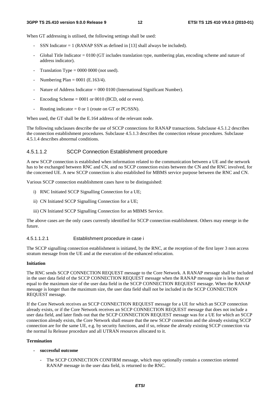When GT addressing is utilised, the following settings shall be used:

- SSN Indicator  $= 1$  (RANAP SSN as defined in [13] shall always be included).
- Global Title Indicator = 0100 (GT includes translation type, numbering plan, encoding scheme and nature of address indicator).
- Translation Type =  $0000 0000$  (not used).
- Numbering Plan =  $0001$  (E.163/4).
- Nature of Address Indicator = 000 0100 (International Significant Number).
- Encoding Scheme  $= 0001$  or 0010 (BCD, odd or even).
- Routing indicator = 0 or 1 (route on GT or PC/SSN).

When used, the GT shall be the E.164 address of the relevant node.

The following subclauses describe the use of SCCP connections for RANAP transactions. Subclause 4.5.1.2 describes the connection establishment procedures. Subclause 4.5.1.3 describes the connection release procedures. Subclause 4.5.1.4 describes abnormal conditions.

#### 4.5.1.1.2 SCCP Connection Establishment procedure

A new SCCP connection is established when information related to the communication between a UE and the network has to be exchanged between RNC and CN, and no SCCP connection exists between the CN and the RNC involved, for the concerned UE. A new SCCP connection is also established for MBMS service purpose between the RNC and CN.

Various SCCP connection establishment cases have to be distinguished:

- i) RNC Initiated SCCP Signalling Connection for a UE;
- ii) CN Initiated SCCP Signalling Connection for a UE;
- iii) CN Initiated SCCP Signalling Connection for an MBMS Service.

The above cases are the only cases currently identified for SCCP connection establishment. Others may emerge in the future.

#### 4.5.1.1.2.1 Establishment procedure in case i

The SCCP signalling connection establishment is initiated, by the RNC, at the reception of the first layer 3 non access stratum message from the UE and at the execution of the enhanced relocation.

#### **Initiation**

The RNC sends SCCP CONNECTION REQUEST message to the Core Network. A RANAP message shall be included in the user data field of the SCCP CONNECTION REQUEST message when the RANAP message size is less than or equal to the maximum size of the user data field in the SCCP CONNECTION REQUEST message. When the RANAP message is longer than the maximum size, the user data field shall not be included in the SCCP CONNECTION REQUEST message.

If the Core Network receives an SCCP CONNECTION REQUEST message for a UE for which an SCCP connection already exists, or if the Core Network receives an SCCP CONNECTION REQUEST message that does not include a user data field, and later finds out that the SCCP CONNECTION REQUEST message was for a UE for which an SCCP connection already exists, the Core Network shall ensure that the new SCCP connection and the already existing SCCP connection are for the same UE, e.g. by security functions, and if so, release the already existing SCCP connection via the normal Iu Release procedure and all UTRAN resources allocated to it.

#### **Termination**

- **successful outcome** 
	- The SCCP CONNECTION CONFIRM message, which may optionally contain a connection oriented RANAP message in the user data field, is returned to the RNC.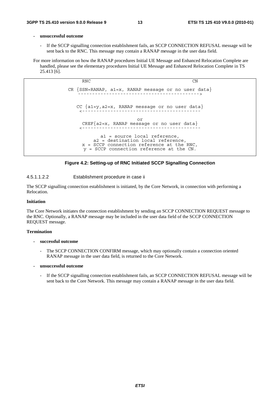#### **- unsuccessful outcome**

If the SCCP signalling connection establishment fails, an SCCP CONNECTION REFUSAL message will be sent back to the RNC. This message may contain a RANAP message in the user data field.

For more information on how the RANAP procedures Initial UE Message and Enhanced Relocation Complete are handled, please see the elementary procedures Initial UE Message and Enhanced Relocation Complete in TS 25.413 [6].

> RNC CN CR  ${SSN=RANAP, a1=x, RANAP message or no user data}$ CC {a1=y,a2=x, RANAP message or no user data} <----------------------------------------- or  $CREF{a2=x, RANAP message or no user data}$ <----------------------------------------- a1 = source local reference, a2 = destination local reference, x = SCCP connection reference at the RNC, y = SCCP connection reference at the CN.

#### **Figure 4.2: Setting-up of RNC Initiated SCCP Signalling Connection**

#### 4.5.1.1.2.2 Establishment procedure in case ii

The SCCP signalling connection establishment is initiated, by the Core Network, in connection with performing a Relocation.

#### **Initiation**

The Core Network initiates the connection establishment by sending an SCCP CONNECTION REQUEST message to the RNC. Optionally, a RANAP message may be included in the user data field of the SCCP CONNECTION REQUEST message.

#### **Termination**

#### **- successful outcome**

- The SCCP CONNECTION CONFIRM message, which may optionally contain a connection oriented RANAP message in the user data field, is returned to the Core Network.
- **unsuccessful outcome** 
	- If the SCCP signalling connection establishment fails, an SCCP CONNECTION REFUSAL message will be sent back to the Core Network. This message may contain a RANAP message in the user data field.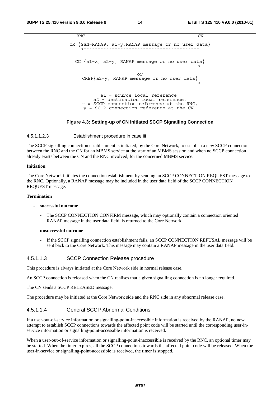```
RNC CN
CR \n{SSN=RANAP, al=y, RANAP message or no user data}CC \{a1=x, a2=y, RANAP message or no user data\}or 
    CREF{a2=y, RANAP message or no user data} 
                      ------------------------------------------> 
          a1 = source local reference, 
        a2 = destination local reference, 
    x = SCCP connection reference at the RNC, 
    y = SCCP connection reference at the CN.
```
#### **Figure 4.3: Setting-up of CN Initiated SCCP Signalling Connection**

#### 4.5.1.1.2.3 Establishment procedure in case iii

The SCCP signalling connection establishment is initiated, by the Core Network, to establish a new SCCP connection between the RNC and the CN for an MBMS service at the start of an MBMS session and when no SCCP connection already exists between the CN and the RNC involved, for the concerned MBMS service.

#### **Initiation**

The Core Network initiates the connection establishment by sending an SCCP CONNECTION REQUEST message to the RNC. Optionally, a RANAP message may be included in the user data field of the SCCP CONNECTION REQUEST message.

#### **Termination**

#### **- successful outcome**

- The SCCP CONNECTION CONFIRM message, which may optionally contain a connection oriented RANAP message in the user data field, is returned to the Core Network.
- **unsuccessful outcome** 
	- If the SCCP signalling connection establishment fails, an SCCP CONNECTION REFUSAL message will be sent back to the Core Network. This message may contain a RANAP message in the user data field.

#### 4.5.1.1.3 SCCP Connection Release procedure

This procedure is always initiated at the Core Network side in normal release case.

An SCCP connection is released when the CN realises that a given signalling connection is no longer required.

The CN sends a SCCP RELEASED message.

The procedure may be initiated at the Core Network side and the RNC side in any abnormal release case.

#### 4.5.1.1.4 General SCCP Abnormal Conditions

If a user-out-of-service information or signalling-point-inaccessible information is received by the RANAP, no new attempt to establish SCCP connections towards the affected point code will be started until the corresponding user-inservice information or signalling-point-accessible information is received.

When a user-out-of-service information or signalling-point-inaccessible is received by the RNC, an optional timer may be started. When the timer expires, all the SCCP connections towards the affected point code will be released. When the user-in-service or signalling-point-accessible is received, the timer is stopped.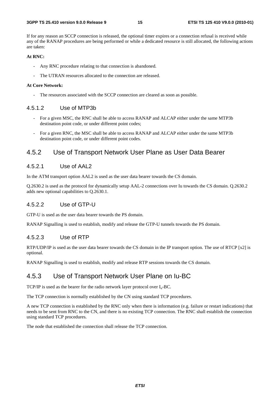If for any reason an SCCP connection is released, the optional timer expires or a connection refusal is received while any of the RANAP procedures are being performed or while a dedicated resource is still allocated, the following actions are taken:

#### **At RNC:**

- Any RNC procedure relating to that connection is abandoned.
- The UTRAN resources allocated to the connection are released.

#### **At Core Network:**

The resources associated with the SCCP connection are cleared as soon as possible.

#### 4.5.1.2 Use of MTP3b

- For a given MSC, the RNC shall be able to access RANAP and ALCAP either under the same MTP3b destination point code, or under different point codes;
- For a given RNC, the MSC shall be able to access RANAP and ALCAP either under the same MTP3b destination point code, or under different point codes.

#### 4.5.2 Use of Transport Network User Plane as User Data Bearer

#### 4.5.2.1 Use of AAL2

In the ATM transport option AAL2 is used as the user data bearer towards the CS domain.

Q.2630.2 is used as the protocol for dynamically setup AAL-2 connections over Iu towards the CS domain. Q.2630.2 adds new optional capabilities to Q.2630.1.

#### 4.5.2.2 Use of GTP-U

GTP-U is used as the user data bearer towards the PS domain.

RANAP Signalling is used to establish, modify and release the GTP-U tunnels towards the PS domain.

#### 4.5.2.3 Use of RTP

RTP/UDP/IP is used as the user data bearer towards the CS domain in the IP transport option. The use of RTCP [x2] is optional.

RANAP Signalling is used to establish, modify and release RTP sessions towards the CS domain.

#### 4.5.3 Use of Transport Network User Plane on Iu-BC

TCP/IP is used as the bearer for the radio network layer protocol over  $I_u$ -BC.

The TCP connection is normally established by the CN using standard TCP procedures.

A new TCP connection is established by the RNC only when there is information (e.g. failure or restart indications) that needs to be sent from RNC to the CN, and there is no existing TCP connection. The RNC shall establish the connection using standard TCP procedures.

The node that established the connection shall release the TCP connection.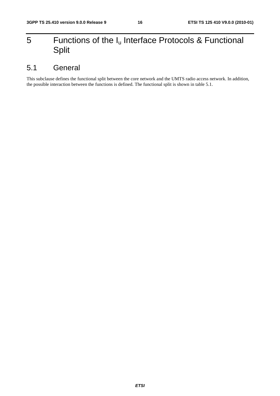# 5 Functions of the  $I_u$  Interface Protocols & Functional Split

# 5.1 General

This subclause defines the functional split between the core network and the UMTS radio access network. In addition, the possible interaction between the functions is defined. The functional split is shown in table 5.1.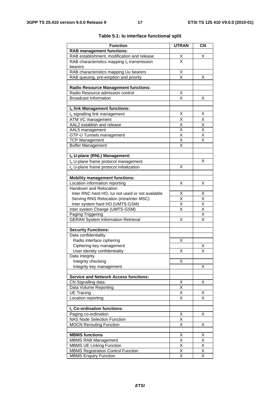| <b>Function</b>                                      | <b>UTRAN</b>                    | <b>CN</b>                           |
|------------------------------------------------------|---------------------------------|-------------------------------------|
| <b>RAB management functions:</b>                     |                                 |                                     |
| RAB establishment, modification and release          | $\frac{\mathsf{x}}{\mathsf{x}}$ | X                                   |
| RAB characteristics mapping $I_u$ transmission       |                                 |                                     |
| bearers                                              |                                 |                                     |
| RAB characteristics mapping Uu bearers               | $\frac{X}{X}$                   |                                     |
| RAB queuing, pre-emption and priority                |                                 | х                                   |
|                                                      |                                 |                                     |
| <b>Radio Resource Management functions:</b>          |                                 |                                     |
| Radio Resource admission control                     | Χ                               |                                     |
| <b>Broadcast Information</b>                         | X                               | Х                                   |
| Iu link Management functions:                        |                                 |                                     |
| I <sub>u</sub> signalling link management            | х                               | х                                   |
| <b>ATM VC management</b>                             | $\overline{\mathsf{x}}$         | $\overline{\mathsf{x}}$             |
| AAL2 establish and release                           |                                 |                                     |
| AAL5 management                                      | $\frac{\mathsf{X}}{\mathsf{X}}$ | $\frac{\overline{x}}{\overline{x}}$ |
| GTP-U Tunnels management                             | $\overline{\mathsf{x}}$         | $\overline{\mathsf{x}}$             |
| <b>TCP Management</b>                                | $\overline{\mathsf{x}}$         | X                                   |
| <b>Buffer Management</b>                             | X                               |                                     |
|                                                      |                                 |                                     |
| Iu U-plane (RNL) Management:                         |                                 |                                     |
| I <sub>u</sub> U-plane frame protocol management     |                                 | х                                   |
| I <sub>u</sub> U-plane frame protocol initialization | X                               |                                     |
|                                                      |                                 |                                     |
| <b>Mobility management functions:</b>                |                                 |                                     |
| Location information reporting                       | Χ                               | х                                   |
| Handover and Relocation                              |                                 |                                     |
| Inter RNC hard HO, lur not used or not available     | X                               | Χ                                   |
| Serving RNS Relocation (intra/inter MSC)             | X                               | $\overline{\mathsf{X}}$             |
| Inter system hard HO (UMTS-GSM)                      | $\overline{\mathsf{x}}$         | $\overline{\mathsf{x}}$             |
| Inter system Change (UMTS-GSM)                       | $\overline{\mathsf{x}}$         | $\overline{\mathsf{x}}$             |
| Paging Triggering                                    |                                 | $\overline{\mathsf{x}}$             |
| <b>GERAN System Information Retrieval</b>            | Χ                               | $\overline{\mathsf{x}}$             |
| <b>Security Functions:</b>                           |                                 |                                     |
| Data confidentiality                                 |                                 |                                     |
| Radio interface ciphering                            | х                               |                                     |
| Ciphering key management                             |                                 | Х                                   |
| User identity confidentiality                        | Χ                               | X                                   |
| Data integrity                                       |                                 |                                     |
| Integrity checking                                   | х                               |                                     |
| Integrity key management                             |                                 | х                                   |
|                                                      |                                 |                                     |
| <b>Service and Network Access functions:</b>         |                                 |                                     |
| CN Signalling data                                   | Χ                               | Χ                                   |
| Data Volume Reporting                                | $\overline{\mathsf{x}}$         |                                     |
| <b>UE Tracing</b>                                    | Χ                               | х                                   |
| Location reporting                                   | Χ                               | X                                   |
| I <sub>u</sub> Co-ordination functions:              |                                 |                                     |
| Paging co-ordination                                 | х                               | X                                   |
| <b>NAS Node Selection Function</b>                   | X                               |                                     |
| <b>MOCN Rerouting Function</b>                       | $\overline{\mathsf{x}}$         | Χ                                   |
|                                                      |                                 |                                     |
| <b>MBMS functions</b>                                | х                               | х                                   |
| <b>MBMS RAB Management</b>                           | Χ                               | $\overline{\mathsf{x}}$             |
| <b>MBMS UE Linking Function</b>                      | Χ                               | X                                   |
| <b>MBMS Registration Control Function</b>            | Χ                               | X                                   |
| <b>MBMS Enquiry Function</b>                         | $\overline{\mathsf{x}}$         | $\overline{\mathsf{x}}$             |

#### **Table 5.1: Iu interface functional split**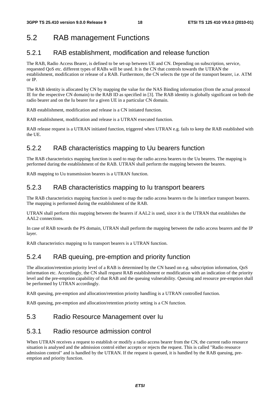# 5.2 RAB management Functions

### 5.2.1 RAB establishment, modification and release function

The RAB, Radio Access Bearer, is defined to be set-up between UE and CN. Depending on subscription, service, requested QoS etc. different types of RABs will be used. It is the CN that controls towards the UTRAN the establishment, modification or release of a RAB. Furthermore, the CN selects the type of the transport bearer, i.e. ATM or IP.

The RAB identity is allocated by CN by mapping the value for the NAS Binding information (from the actual protocol IE for the respective CN domain) to the RAB ID as specified in [3]. The RAB identity is globally significant on both the radio bearer and on the Iu bearer for a given UE in a particular CN domain.

RAB establishment, modification and release is a CN initiated function.

RAB establishment, modification and release is a UTRAN executed function.

RAB release request is a UTRAN initiated function, triggered when UTRAN e.g. fails to keep the RAB established with the UE.

### 5.2.2 RAB characteristics mapping to Uu bearers function

The RAB characteristics mapping function is used to map the radio access bearers to the Uu bearers. The mapping is performed during the establishment of the RAB. UTRAN shall perform the mapping between the bearers.

RAB mapping to Uu transmission bearers is a UTRAN function.

### 5.2.3 RAB characteristics mapping to Iu transport bearers

The RAB characteristics mapping function is used to map the radio access bearers to the Iu interface transport bearers. The mapping is performed during the establishment of the RAB.

UTRAN shall perform this mapping between the bearers if AAL2 is used, since it is the UTRAN that establishes the AAL2 connections.

In case of RAB towards the PS domain, UTRAN shall perform the mapping between the radio access bearers and the IP layer.

RAB characteristics mapping to Iu transport bearers is a UTRAN function.

### 5.2.4 RAB queuing, pre-emption and priority function

The allocation/retention priority level of a RAB is determined by the CN based on e.g. subscription information, QoS information etc. Accordingly, the CN shall request RAB establishment or modification with an indication of the priority level and the pre-emption capability of that RAB and the queuing vulnerability. Queuing and resource pre-emption shall be performed by UTRAN accordingly.

RAB queuing, pre-emption and allocation/retention priority handling is a UTRAN controlled function.

RAB queuing, pre-emption and allocation/retention priority setting is a CN function.

#### 5.3 Radio Resource Management over Iu

#### 5.3.1 Radio resource admission control

When UTRAN receives a request to establish or modify a radio access bearer from the CN, the current radio resource situation is analysed and the admission control either accepts or rejects the request. This is called "Radio resource admission control" and is handled by the UTRAN. If the request is queued, it is handled by the RAB queuing, preemption and priority function.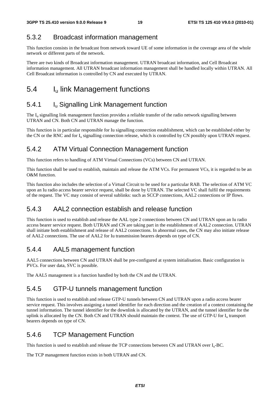### 5.3.2 Broadcast information management

This function consists in the broadcast from network toward UE of some information in the coverage area of the whole network or different parts of the network.

There are two kinds of Broadcast information management. UTRAN broadcast information, and Cell Broadcast information management. All UTRAN broadcast information management shall be handled locally within UTRAN. All Cell Broadcast information is controlled by CN and executed by UTRAN.

# 5.4 I<sub>u</sub> link Management functions

### 5.4.1 **I**<sub>u</sub> Signalling Link Management function

The I<sub>u</sub> signalling link management function provides a reliable transfer of the radio network signalling between UTRAN and CN. Both CN and UTRAN manage the function.

This function is in particular responsible for Iu signalling connection establishment, which can be established either by the CN or the RNC and for  $I_u$  signalling connection release, which is controlled by CN possibly upon UTRAN request.

### 5.4.2 ATM Virtual Connection Management function

This function refers to handling of ATM Virtual Connections (VCs) between CN and UTRAN.

This function shall be used to establish, maintain and release the ATM VCs. For permanent VCs, it is regarded to be an O&M function.

This function also includes the selection of a Virtual Circuit to be used for a particular RAB. The selection of ATM VC upon an Iu radio access bearer service request, shall be done by UTRAN. The selected VC shall fulfil the requirements of the request. The VC may consist of several sublinks: such as SCCP connections, AAL2 connections or IP flows.

### 5.4.3 AAL2 connection establish and release function

This function is used to establish and release the AAL type 2 connections between CN and UTRAN upon an Iu radio access bearer service request. Both UTRAN and CN are taking part in the establishment of AAL2 connection. UTRAN shall initiate both establishment and release of AAL2 connections. In abnormal cases, the CN may also initiate release of AAL2 connections. The use of AAL2 for Iu transmission bearers depends on type of CN.

### 5.4.4 AAL5 management function

AAL5 connections between CN and UTRAN shall be pre-configured at system initialisation. Basic configuration is PVCs. For user data, SVC is possible.

The AAL5 management is a function handled by both the CN and the UTRAN.

### 5.4.5 GTP-U tunnels management function

This function is used to establish and release GTP-U tunnels between CN and UTRAN upon a radio access bearer service request. This involves assigning a tunnel identifier for each direction and the creation of a context containing the tunnel information. The tunnel identifier for the downlink is allocated by the UTRAN, and the tunnel identifier for the uplink is allocated by the CN. Both CN and UTRAN should maintain the context. The use of GTP-U for I<sub>u</sub> transport bearers depends on type of CN.

### 5.4.6 TCP Management Function

This function is used to establish and release the TCP connections between CN and UTRAN over Iu-BC.

The TCP management function exists in both UTRAN and CN.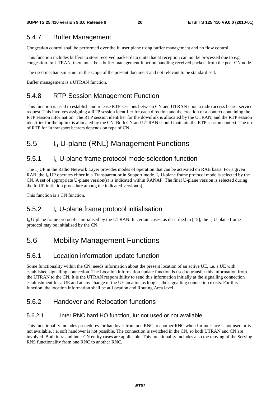### 5.4.7 Buffer Management

Congestion control shall be performed over the Iu user plane using buffer management and no flow control.

This function includes buffers to store received packet data units that at reception can not be processed due to e.g. congestion. In UTRAN, there must be a buffer management function handling received packets from the peer CN node.

The used mechanism is not in the scope of the present document and not relevant to be standardised.

Buffer management is a UTRAN function.

### 5.4.8 RTP Session Management Function

This function is used to establish and release RTP sessions between CN and UTRAN upon a radio access bearer service request. This involves assigning a RTP session identifier for each direction and the creation of a context containing the RTP session information. The RTP session identifier for the downlink is allocated by the UTRAN, and the RTP session identifier for the uplink is allocated by the CN. Both CN and UTRAN should maintain the RTP session context. The use of RTP for Iu transport bearers depends on type of CN.

# 5.5 Iu U-plane (RNL) Management Functions

### 5.5.1 Iu U-plane frame protocol mode selection function

The  $I_{\rm u}$  UP in the Radio Network Layer provides modes of operation that can be activated on RAB basis. For a given RAB, the  $I_{\rm u}$  UP operates either in a Transparent or in Support mode.  $I_{\rm u}$  U-plane frame protocol mode is selected by the CN. A set of appropriate U-plane version(s) is indicated within RANAP. The final U-plane version is selected during the Iu UP initiation procedure among the indicated version(s).

This function is a CN function.

### 5.5.2 Iu U-plane frame protocol initialisation

 $I_{u}$  U-plane frame protocol is initialised by the UTRAN. In certain cases, as described in [15], the  $I_{u}$  U-plane frame protocol may be initialised by the CN.

# 5.6 Mobility Management Functions

### 5.6.1 Location information update function

Some functionality within the CN, needs information about the present location of an active UE, i.e. a UE with established signalling connection. The Location information update function is used to transfer this information from the UTRAN to the CN. It is the UTRAN responsibility to send this information initially at the signalling connection establishment for a UE and at any change of the UE location as long as the signalling connection exists. For this function, the location information shall be at Location and Routing Area level.

### 5.6.2 Handover and Relocation functions

#### 5.6.2.1 Inter RNC hard HO function, Iur not used or not available

This functionality includes procedures for handover from one RNC to another RNC when Iur interface is not used or is not available, i.e. soft handover is not possible. The connection is switched in the CN, so both UTRAN and CN are involved. Both intra and inter CN entity cases are applicable. This functionality includes also the moving of the Serving RNS functionality from one RNC to another RNC.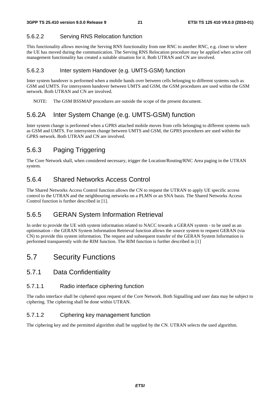#### 5.6.2.2 Serving RNS Relocation function

This functionality allows moving the Serving RNS functionality from one RNC to another RNC, e.g. closer to where the UE has moved during the communication. The Serving RNS Relocation procedure may be applied when active cell management functionality has created a suitable situation for it. Both UTRAN and CN are involved.

#### 5.6.2.3 Inter system Handover (e.g. UMTS-GSM) function

Inter system handover is performed when a mobile hands over between cells belonging to different systems such as GSM and UMTS. For intersystem handover between UMTS and GSM, the GSM procedures are used within the GSM network. Both UTRAN and CN are involved.

NOTE: The GSM BSSMAP procedures are outside the scope of the present document.

### 5.6.2A Inter System Change (e.g. UMTS-GSM) function

Inter system change is performed when a GPRS attached mobile moves from cells belonging to different systems such as GSM and UMTS. For intersystem change between UMTS and GSM, the GPRS procedures are used within the GPRS network. Both UTRAN and CN are involved.

### 5.6.3 Paging Triggering

The Core Network shall, when considered necessary, trigger the Location/Routing/RNC Area paging in the UTRAN system.

### 5.6.4 Shared Networks Access Control

The Shared Networks Access Control function allows the CN to request the UTRAN to apply UE specific access control to the UTRAN and the neighbouring networks on a PLMN or an SNA basis. The Shared Networks Access Control function is further described in [1].

### 5.6.5 GERAN System Information Retrieval

In order to provide the UE with system information related to NACC towards a GERAN system - to be used as an optimisation - the GERAN System Information Retrieval function allows the source system to request GERAN (via CN) to provide this system information. The request and subsequent transfer of the GERAN System Information is performed transparently with the RIM function. The RIM function is further described in [1]

### 5.7 Security Functions

#### 5.7.1 Data Confidentiality

#### 5.7.1.1 Radio interface ciphering function

The radio interface shall be ciphered upon request of the Core Network. Both Signalling and user data may be subject to ciphering. The ciphering shall be done within UTRAN.

#### 5.7.1.2 Ciphering key management function

The ciphering key and the permitted algorithm shall be supplied by the CN. UTRAN selects the used algorithm.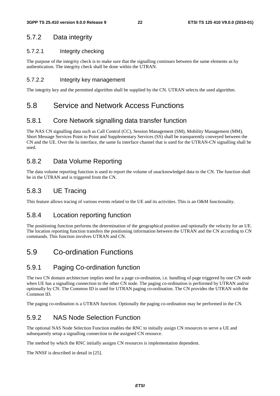### 5.7.2 Data integrity

#### 5.7.2.1 Integrity checking

The purpose of the integrity check is to make sure that the signalling continues between the same elements as by authentication. The integrity check shall be done within the UTRAN.

#### 5.7.2.2 Integrity key management

The integrity key and the permitted algorithm shall be supplied by the CN. UTRAN selects the used algorithm.

### 5.8 Service and Network Access Functions

### 5.8.1 Core Network signalling data transfer function

The NAS CN signalling data such as Call Control (CC), Session Management (SM), Mobility Management (MM), Short Message Services Point to Point and Supplementary Services (SS) shall be transparently conveyed between the CN and the UE. Over the Iu interface, the same Iu interface channel that is used for the UTRAN-CN signalling shall be used.

### 5.8.2 Data Volume Reporting

The data volume reporting function is used to report the volume of unacknowledged data to the CN. The function shall be in the UTRAN and is triggered from the CN.

### 5.8.3 UE Tracing

This feature allows tracing of various events related to the UE and its activities. This is an O&M functionality.

#### 5.8.4 Location reporting function

The positioning function performs the determination of the geographical position and optionally the velocity for an UE. The location reporting function transfers the positioning information between the UTRAN and the CN according to CN commands. This function involves UTRAN and CN.

# 5.9 Co-ordination Functions

### 5.9.1 Paging Co-ordination function

The two CN domain architecture implies need for a page co-ordination, i.e. handling of page triggered by one CN node when UE has a signalling connection to the other CN node. The paging co-ordination is performed by UTRAN and/or optionally by CN. The Common ID is used for UTRAN paging co-ordination. The CN provides the UTRAN with the Common ID.

The paging co-ordination is a UTRAN function. Optionally the paging co-ordination may be performed in the CN.

### 5.9.2 NAS Node Selection Function

The optional NAS Node Selection Function enables the RNC to initially assign CN resources to serve a UE and subsequently setup a signalling connection to the assigned CN resource.

The method by which the RNC initially assigns CN resources is implementation dependent.

The NNSF is described in detail in [25].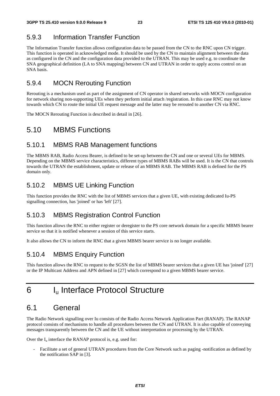# 5.9.3 Information Transfer Function

The Information Transfer function allows configuration data to be passed from the CN to the RNC upon CN trigger. This function is operated in acknowledged mode. It should be used by the CN to maintain alignment between the data as configured in the CN and the configuration data provided to the UTRAN. This may be used e.g. to coordinate the SNA geographical definition (LA to SNA mapping) between CN and UTRAN in order to apply access control on an SNA basis.

### 5.9.4 MOCN Rerouting Function

Rerouting is a mechanism used as part of the assignment of CN operator in shared networks with MOCN configuration for network sharing non-supporting UEs when they perform initial attach /registration. In this case RNC may not know towards which CN to route the initial UE request message and the latter may be rerouted to another CN via RNC.

The MOCN Rerouting Function is described in detail in [26].

### 5.10 MBMS Functions

#### 5.10.1 MBMS RAB Management functions

The MBMS RAB, Radio Access Bearer, is defined to be set-up between the CN and one or several UEs for MBMS. Depending on the MBMS service characteristics, different types of MBMS RABs will be used. It is the CN that controls towards the UTRAN the establishment, update or release of an MBMS RAB. The MBMS RAB is defined for the PS domain only.

### 5.10.2 MBMS UE Linking Function

This function provides the RNC with the list of MBMS services that a given UE, with existing dedicated Iu-PS signalling connection, has 'joined' or has 'left' [27].

### 5.10.3 MBMS Registration Control Function

This function allows the RNC to either register or deregister to the PS core network domain for a specific MBMS bearer service so that it is notified whenever a session of this service starts.

It also allows the CN to inform the RNC that a given MBMS bearer service is no longer available.

### 5.10.4 MBMS Enquiry Function

This function allows the RNC to request to the SGSN the list of MBMS bearer services that a given UE has 'joined' [27] or the IP Multicast Address and APN defined in [27] which correspond to a given MBMS bearer service.

# 6 Iu Interface Protocol Structure

# 6.1 General

The Radio Network signalling over Iu consists of the Radio Access Network Application Part (RANAP). The RANAP protocol consists of mechanisms to handle all procedures between the CN and UTRAN. It is also capable of conveying messages transparently between the CN and the UE without interpretation or processing by the UTRAN.

Over the  $I_u$  interface the RANAP protocol is, e.g. used for:

- Facilitate a set of general UTRAN procedures from the Core Network such as paging -notification as defined by the notification SAP in [3].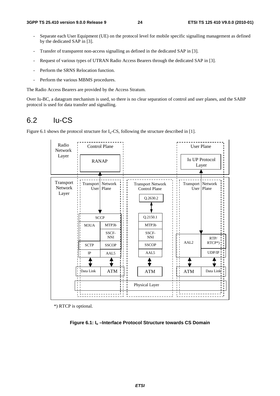- Separate each User Equipment (UE) on the protocol level for mobile specific signalling management as defined by the dedicated SAP in [3].
- Transfer of transparent non-access signalling as defined in the dedicated SAP in [3].
- Request of various types of UTRAN Radio Access Bearers through the dedicated SAP in [3].
- Perform the SRNS Relocation function.
- Perform the various MBMS procedures.

The Radio Access Bearers are provided by the Access Stratum.

Over Iu-BC, a datagram mechanism is used, so there is no clear separation of control and user planes, and the SABP protocol is used for data transfer and signalling.

### 6.2 Iu-CS

Figure 6.1 shows the protocol structure for  $I_u$ -CS, following the structure described in [1].



\*) RTCP is optional.

**Figure 6.1: Iu –Interface Protocol Structure towards CS Domain**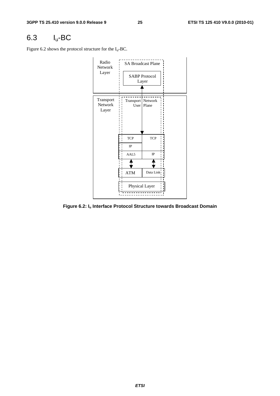# 6.3 Iu-BC

Figure 6.2 shows the protocol structure for the  $I_u$ -BC.



**Figure 6.2: Iu Interface Protocol Structure towards Broadcast Domain**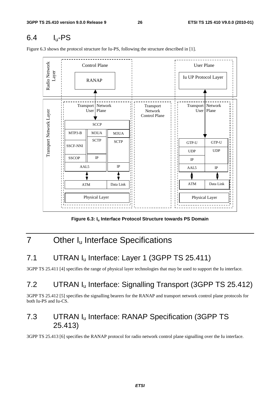# 6.4 Iu-PS

\_ \_ \_ \_ \_ \_ \_ \_ \_ \_ \_ \_ \_ Radio Network Radio Network Control Plane  $\overrightarrow{ }$  User Plane Layer RANAP Iu UP Protocol Layer Transport Network Transport Transport Network Transport Network Layer User Plane Network User Plane Transport Network Layer Control Plane **SCCP**  $MTP3-B$  M3UA M3UA **SCTP SCTP** GTP-U GTP-U SSCF-NNI UDP UDP SSCOP IP IP IP AAL5 AAL5 IP ATM Data Link ATM Data Link Physical Layer Physical Layer

Figure 6.3 shows the protocol structure for Iu-PS, following the structure described in [1].

Figure 6.3: I<sub>u</sub> Interface Protocol Structure towards PS Domain

# 7 Other I<sub>u</sub> Interface Specifications

# 7.1 UTRAN I<sub>u</sub> Interface: Layer 1 (3GPP TS 25.411)

3GPP TS 25.411 [4] specifies the range of physical layer technologies that may be used to support the Iu interface.

# 7.2 UTRAN Iu Interface: Signalling Transport (3GPP TS 25.412)

3GPP TS 25.412 [5] specifies the signalling bearers for the RANAP and transport network control plane protocols for both Iu-PS and Iu-CS.

# 7.3 UTRAN Iu Interface: RANAP Specification (3GPP TS 25.413)

3GPP TS 25.413 [6] specifies the RANAP protocol for radio network control plane signalling over the Iu interface.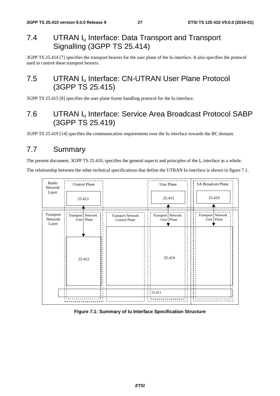# 7.4 UTRAN I<sub>u</sub> Interface: Data Transport and Transport Signalling (3GPP TS 25.414)

3GPP TS 25.414 [7] specifies the transport bearers for the user plane of the Iu interface. It also specifies the protocol used to control these transport bearers.

# 7.5 UTRAN I<sub>u</sub> Interface: CN-UTRAN User Plane Protocol (3GPP TS 25.415)

3GPP TS 25.415 [8] specifies the user plane frame handling protocol for the Iu interface.

# 7.6 UTRAN Iu Interface: Service Area Broadcast Protocol SABP (3GPP TS 25.419)

3GPP TS 25.419 [14] specifies the communication requirements over the Iu interface towards the BC domain.

# 7.7 Summary

The present document, 3GPP TS 25.410, specifies the general aspects and principles of the  $I_u$  interface as a whole.

The relationship between the other technical specifications that define the UTRAN Iu interface is shown in figure 7.1.



#### **Figure 7.1: Summary of Iu Interface Specification Structure**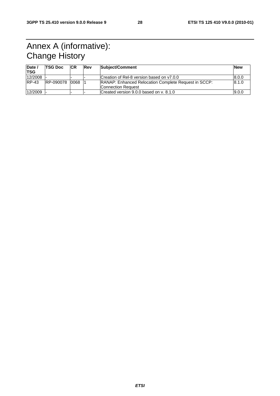# Annex A (informative): Change History

| Date $\sqrt{ }$<br>'TSG | <b>TSG Doc</b> | <b>CR</b> | <b>Rev</b> | Subject/Comment                                                                              | <b>New</b> |
|-------------------------|----------------|-----------|------------|----------------------------------------------------------------------------------------------|------------|
| 12/2008                 |                |           |            | Creation of Rel-8 version based on y7.0.0<br>8.0.0                                           |            |
| $RP-43$                 | RP-090078 0068 |           |            | <b>RANAP: Enhanced Relocation Complete Request in SCCP:</b><br> 8.1.0 <br>Connection Request |            |
| 12/2009                 |                |           |            | Created version 9.0.0 based on v. 8.1.0                                                      | 9.0.0      |